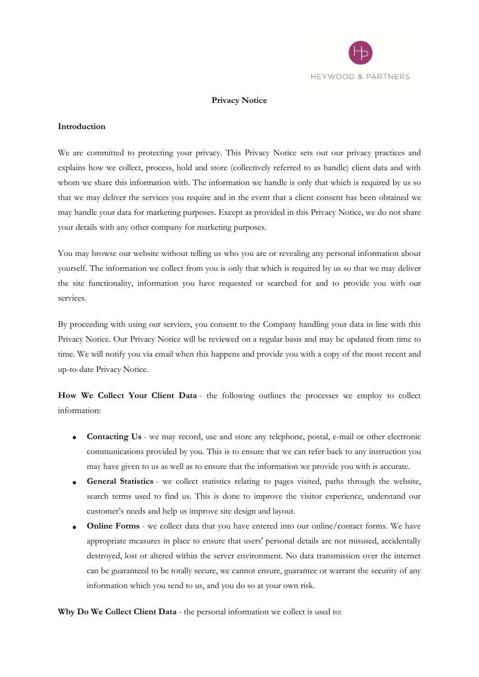

### **Privacy Notice**

### **Introduction**

We are committed to protecting your privacy. This Privacy Notice sets out our privacy practices and explains how we collect, process, hold and store (collectively referred to as handle) client data and with whom we share this information with. The information we handle is only that which is required by us so that we may deliver the services you require and in the event that a client consent has been obtained we may handle your data for marketing purposes. Except as provided in this Privacy Notice, we do not share your details with any other company for marketing purposes.

You may browse our website without telling us who you are or revealing any personal information about yourself. The information we collect from you is only that which is required by us so that we may deliver the site functionality, information you have requested or searched for and to provide you with our services.

By proceeding with using our services, you consent to the Company handling your data in line with this Privacy Notice. Our Privacy Notice will be reviewed on a regular basis and may be updated from time to time. We will notify you via email when this happens and provide you with a copy of the most recent and up-to-date Privacy Notice.

**How We Collect Your Client Data** - the following outlines the processes we employ to collect information:

- **Contacting Us** we may record, use and store any telephone, postal, e-mail or other electronic communications provided by you. This is to ensure that we can refer back to any instruction you may have given to us as well as to ensure that the information we provide you with is accurate.
- **General Statistics** we collect statistics relating to pages visited, paths through the website, search terms used to find us. This is done to improve the visitor experience, understand our customer's needs and help us improve site design and layout.
- **Online Forms** we collect data that you have entered into our online/contact forms. We have appropriate measures in place to ensure that users' personal details are not misused, accidentally destroyed, lost or altered within the server environment. No data transmission over the internet can be guaranteed to be totally secure, we cannot ensure, guarantee or warrant the security of any information which you send to us, and you do so at your own risk.

**Why Do We Collect Client Data** - the personal information we collect is used to: